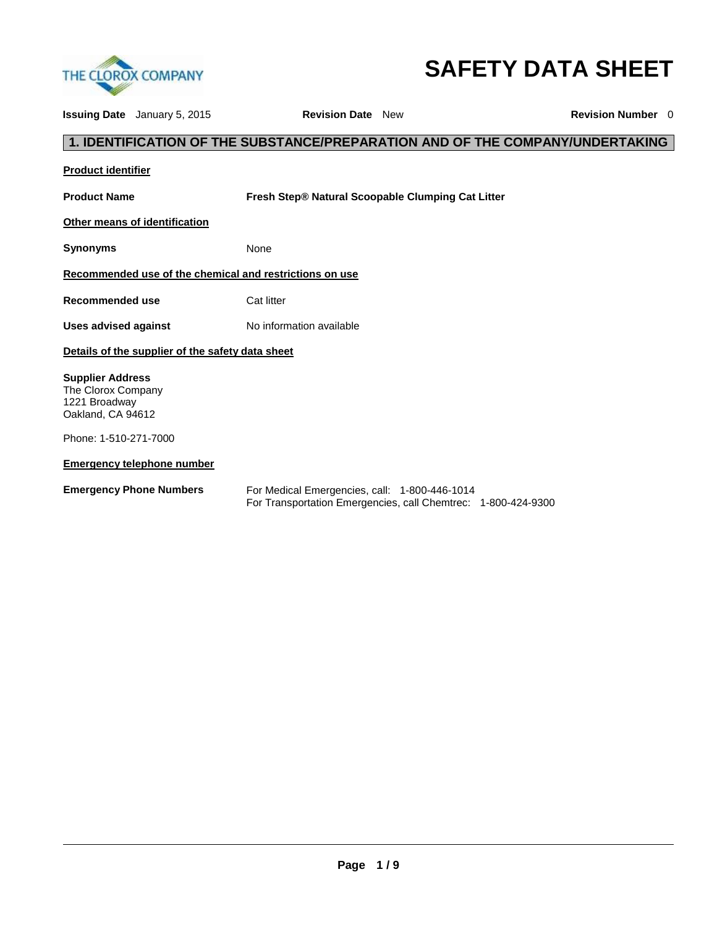

# **SAFETY DATA SHEET**

| <b>Issuing Date</b> January 5, 2015                                                 |                                                  | <b>Revision Date</b> New                                                                                       | <b>Revision Number</b> 0                                                      |
|-------------------------------------------------------------------------------------|--------------------------------------------------|----------------------------------------------------------------------------------------------------------------|-------------------------------------------------------------------------------|
|                                                                                     |                                                  |                                                                                                                | 1. IDENTIFICATION OF THE SUBSTANCE/PREPARATION AND OF THE COMPANY/UNDERTAKING |
| <b>Product identifier</b>                                                           |                                                  |                                                                                                                |                                                                               |
| <b>Product Name</b>                                                                 |                                                  | Fresh Step® Natural Scoopable Clumping Cat Litter                                                              |                                                                               |
| Other means of identification                                                       |                                                  |                                                                                                                |                                                                               |
| <b>Synonyms</b>                                                                     |                                                  | None                                                                                                           |                                                                               |
|                                                                                     |                                                  | Recommended use of the chemical and restrictions on use                                                        |                                                                               |
| Recommended use                                                                     |                                                  | Cat litter                                                                                                     |                                                                               |
| Uses advised against                                                                |                                                  | No information available                                                                                       |                                                                               |
|                                                                                     | Details of the supplier of the safety data sheet |                                                                                                                |                                                                               |
| <b>Supplier Address</b><br>The Clorox Company<br>1221 Broadway<br>Oakland, CA 94612 |                                                  |                                                                                                                |                                                                               |
| Phone: 1-510-271-7000                                                               |                                                  |                                                                                                                |                                                                               |
|                                                                                     | <b>Emergency telephone number</b>                |                                                                                                                |                                                                               |
| <b>Emergency Phone Numbers</b>                                                      |                                                  | For Medical Emergencies, call: 1-800-446-1014<br>For Transportation Emergencies, call Chemtrec: 1-800-424-9300 |                                                                               |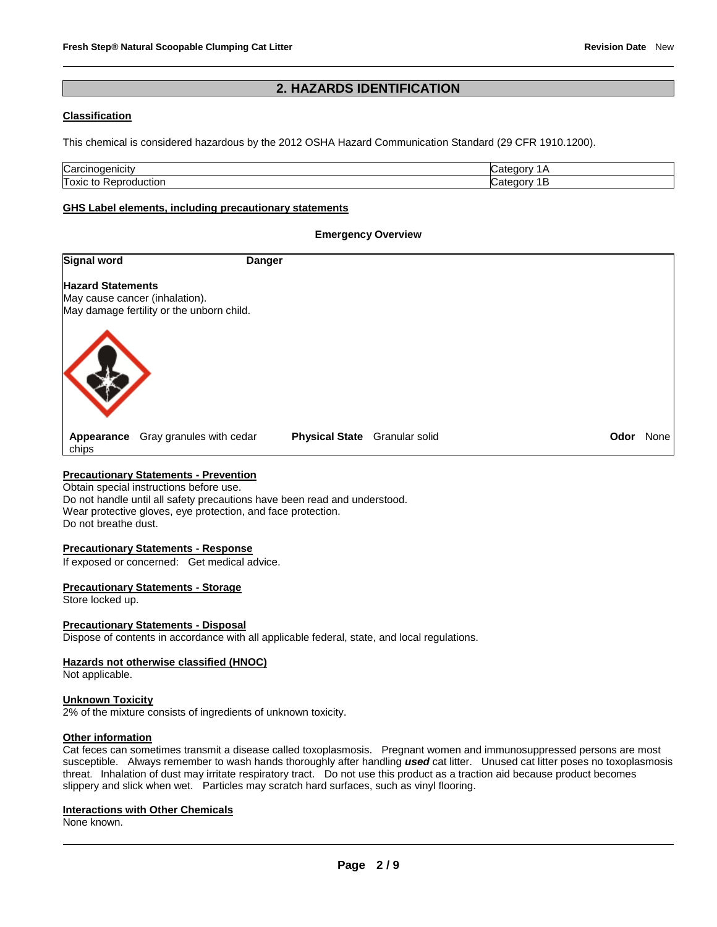# **2. HAZARDS IDENTIFICATION**

#### **Classification**

This chemical is considered hazardous by the 2012 OSHA Hazard Communication Standard (29 CFR 1910.1200).

| Carcir<br>nenicity.<br>nicit | ---<br>эrv |
|------------------------------|------------|
| Toxic<br>люг<br>ж<br>ີ       | ערנ        |

#### **GHS Label elements, including precautionary statements**

#### **Emergency Overview**

| Signal word              |                                                                             | <b>Danger</b>                 |  |      |      |
|--------------------------|-----------------------------------------------------------------------------|-------------------------------|--|------|------|
| <b>Hazard Statements</b> | May cause cancer (inhalation).<br>May damage fertility or the unborn child. |                               |  |      |      |
|                          |                                                                             |                               |  |      |      |
| chips                    | Appearance Gray granules with cedar                                         | Physical State Granular solid |  | Odor | None |

#### **Precautionary Statements - Prevention**

Obtain special instructions before use. Do not handle until all safety precautions have been read and understood. Wear protective gloves, eye protection, and face protection. Do not breathe dust.

#### **Precautionary Statements - Response**

If exposed or concerned: Get medical advice.

#### **Precautionary Statements - Storage**

Store locked up.

#### **Precautionary Statements - Disposal**

Dispose of contents in accordance with all applicable federal, state, and local regulations.

#### **Hazards not otherwise classified (HNOC)**

Not applicable.

#### **Unknown Toxicity**

2% of the mixture consists of ingredients of unknown toxicity.

#### **Other information**

Cat feces can sometimes transmit a disease called toxoplasmosis. Pregnant women and immunosuppressed persons are most susceptible. Always remember to wash hands thoroughly after handling *used* cat litter. Unused cat litter poses no toxoplasmosis threat. Inhalation of dust may irritate respiratory tract. Do not use this product as a traction aid because product becomes slippery and slick when wet. Particles may scratch hard surfaces, such as vinyl flooring.

# **Interactions with Other Chemicals**

None known.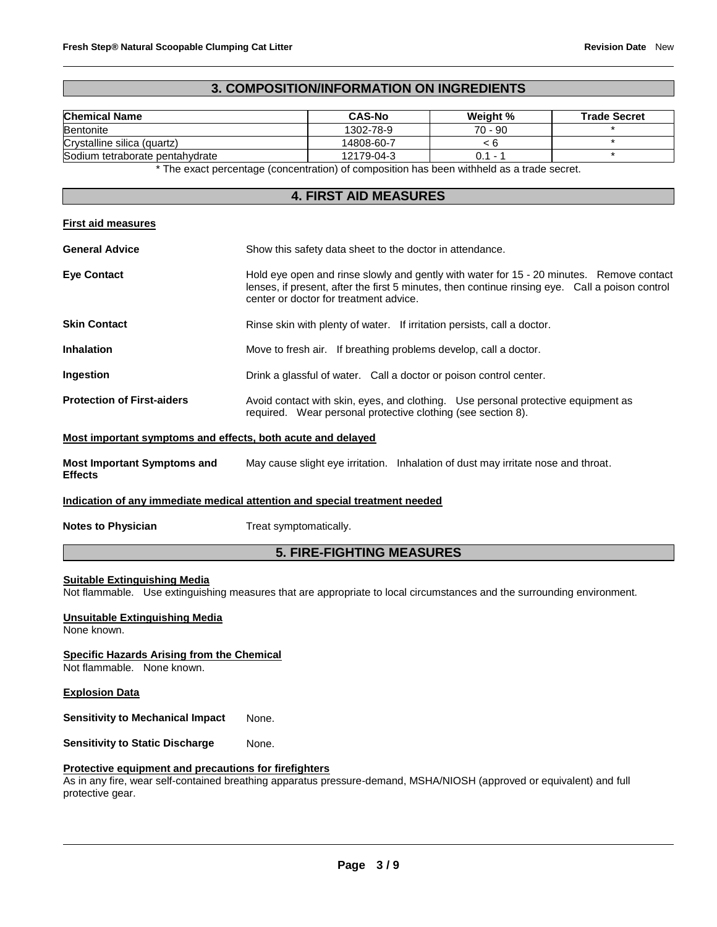# **3. COMPOSITION/INFORMATION ON INGREDIENTS**

| <b>Chemical Name</b>            | <b>CAS-No</b> | Weight %                 | <b>Trade Secret</b> |
|---------------------------------|---------------|--------------------------|---------------------|
| <b>Bentonite</b>                | 1302-78-9     | 70 - 90                  |                     |
| Crystalline silica (quartz)     | 14808-60-7    |                          |                     |
| Sodium tetraborate pentahydrate | 12179-04-3    | $\overline{\phantom{0}}$ |                     |

\* The exact percentage (concentration) of composition has been withheld as a trade secret.

# **4. FIRST AID MEASURES**

| First aid measures |
|--------------------|
|--------------------|

| <b>General Advice</b>             | Show this safety data sheet to the doctor in attendance.                                                                                                                                                                              |  |  |
|-----------------------------------|---------------------------------------------------------------------------------------------------------------------------------------------------------------------------------------------------------------------------------------|--|--|
| <b>Eye Contact</b>                | Hold eye open and rinse slowly and gently with water for 15 - 20 minutes. Remove contact<br>lenses, if present, after the first 5 minutes, then continue rinsing eye. Call a poison control<br>center or doctor for treatment advice. |  |  |
| <b>Skin Contact</b>               | Rinse skin with plenty of water. If irritation persists, call a doctor.                                                                                                                                                               |  |  |
| <b>Inhalation</b>                 | Move to fresh air. If breathing problems develop, call a doctor.                                                                                                                                                                      |  |  |
| Ingestion                         | Drink a glassful of water. Call a doctor or poison control center.                                                                                                                                                                    |  |  |
| <b>Protection of First-aiders</b> | Avoid contact with skin, eyes, and clothing. Use personal protective equipment as<br>required. Wear personal protective clothing (see section 8).                                                                                     |  |  |

#### **Most important symptoms and effects, both acute and delayed**

| <b>Most Important Symptoms and</b> | May cause slight eye irritation. Inhalation of dust may irritate nose and throat. |
|------------------------------------|-----------------------------------------------------------------------------------|
| <b>Effects</b>                     |                                                                                   |

#### **Indication of any immediate medical attention and special treatment needed**

**Notes to Physician Treat symptomatically.** 

# **5. FIRE-FIGHTING MEASURES**

#### **Suitable Extinguishing Media**

Not flammable. Use extinguishing measures that are appropriate to local circumstances and the surrounding environment.

**Unsuitable Extinguishing Media**

None known.

**Specific Hazards Arising from the Chemical**

Not flammable. None known.

**Explosion Data**

**Sensitivity to Mechanical Impact** None.

**Sensitivity to Static Discharge Mone.** 

#### **Protective equipment and precautions for firefighters**

As in any fire, wear self-contained breathing apparatus pressure-demand, MSHA/NIOSH (approved or equivalent) and full protective gear.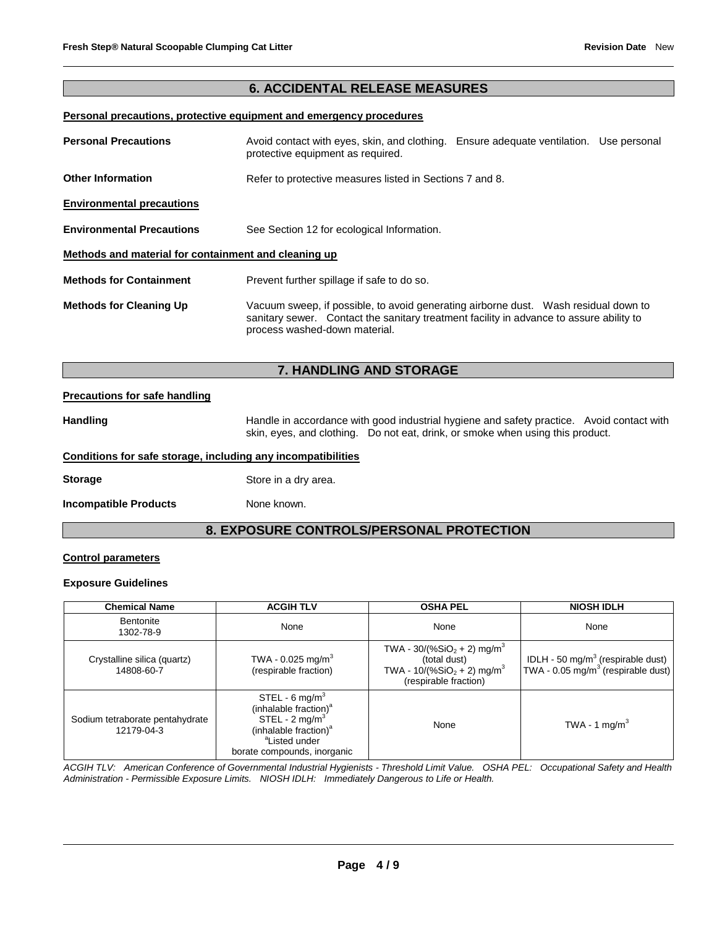# **6. ACCIDENTAL RELEASE MEASURES**

### **Personal precautions, protective equipment and emergency procedures**

| <b>Personal Precautions</b>                          | Avoid contact with eyes, skin, and clothing. Ensure adequate ventilation. Use personal<br>protective equipment as required.                                                                                      |  |  |  |
|------------------------------------------------------|------------------------------------------------------------------------------------------------------------------------------------------------------------------------------------------------------------------|--|--|--|
| <b>Other Information</b>                             | Refer to protective measures listed in Sections 7 and 8.                                                                                                                                                         |  |  |  |
| <b>Environmental precautions</b>                     |                                                                                                                                                                                                                  |  |  |  |
| <b>Environmental Precautions</b>                     | See Section 12 for ecological Information.                                                                                                                                                                       |  |  |  |
| Methods and material for containment and cleaning up |                                                                                                                                                                                                                  |  |  |  |
| <b>Methods for Containment</b>                       | Prevent further spillage if safe to do so.                                                                                                                                                                       |  |  |  |
| <b>Methods for Cleaning Up</b>                       | Vacuum sweep, if possible, to avoid generating airborne dust.  Wash residual down to<br>sanitary sewer. Contact the sanitary treatment facility in advance to assure ability to<br>process washed-down material. |  |  |  |

# **7. HANDLING AND STORAGE**

#### **Precautions for safe handling**

Handling **Handle in accordance with good industrial hygiene and safety practice. Avoid contact with Avoid contact with** skin, eyes, and clothing. Do not eat, drink, or smoke when using this product.

#### **Conditions for safe storage, including any incompatibilities**

**Storage** Store in a dry area.

**Incompatible Products** None known.

# **8. EXPOSURE CONTROLS/PERSONAL PROTECTION**

#### **Control parameters**

#### **Exposure Guidelines**

| <b>Chemical Name</b>                          | <b>ACGIH TLV</b>                                                                                                                                                                               | <b>OSHA PEL</b>                                                                                                               | <b>NIOSH IDLH</b>                                                                               |
|-----------------------------------------------|------------------------------------------------------------------------------------------------------------------------------------------------------------------------------------------------|-------------------------------------------------------------------------------------------------------------------------------|-------------------------------------------------------------------------------------------------|
| <b>Bentonite</b><br>1302-78-9                 | None                                                                                                                                                                                           | None                                                                                                                          | None                                                                                            |
| Crystalline silica (quartz)<br>14808-60-7     | TWA - 0.025 mg/m <sup>3</sup><br>(respirable fraction)                                                                                                                                         | TWA - $30/(%SiO2 + 2)$ mg/m <sup>3</sup><br>(total dust)<br>TWA - $10/(%SiO2 + 2)$ mg/m <sup>3</sup><br>(respirable fraction) | IDLH - 50 mg/m <sup>3</sup> (respirable dust)<br>TWA - 0.05 mg/m <sup>3</sup> (respirable dust) |
| Sodium tetraborate pentahydrate<br>12179-04-3 | STEL - 6 mg/m <sup>3</sup><br>(inhalable fraction) <sup>a</sup><br>STEL - 2 mg/m <sup>3</sup><br>(inhalable fraction) <sup>a</sup><br><sup>a</sup> Listed under<br>borate compounds, inorganic | None                                                                                                                          | TWA - 1 mg/m <sup>3</sup>                                                                       |

*ACGIH TLV: American Conference of Governmental Industrial Hygienists - Threshold Limit Value. OSHA PEL: Occupational Safety and Health Administration - Permissible Exposure Limits. NIOSH IDLH: Immediately Dangerous to Life or Health.*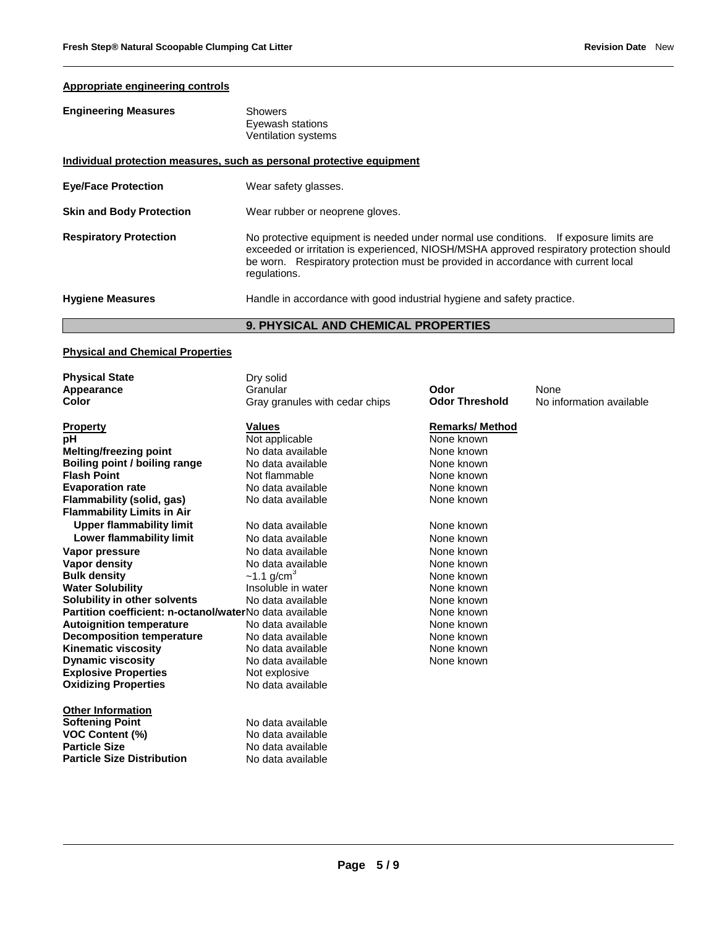# **Appropriate engineering controls**

| <b>Engineering Measures</b> | Showers             |
|-----------------------------|---------------------|
|                             | Eyewash stations    |
|                             | Ventilation systems |
|                             |                     |

| Individual protection measures, such as personal protective equipment |                                                                                                                                                                                                                                                                                        |  |  |  |
|-----------------------------------------------------------------------|----------------------------------------------------------------------------------------------------------------------------------------------------------------------------------------------------------------------------------------------------------------------------------------|--|--|--|
| <b>Eye/Face Protection</b>                                            | Wear safety glasses.                                                                                                                                                                                                                                                                   |  |  |  |
| <b>Skin and Body Protection</b>                                       | Wear rubber or neoprene gloves.                                                                                                                                                                                                                                                        |  |  |  |
| <b>Respiratory Protection</b>                                         | No protective equipment is needed under normal use conditions. If exposure limits are<br>exceeded or irritation is experienced, NIOSH/MSHA approved respiratory protection should<br>be worn. Respiratory protection must be provided in accordance with current local<br>regulations. |  |  |  |
| <b>Hygiene Measures</b>                                               | Handle in accordance with good industrial hygiene and safety practice.                                                                                                                                                                                                                 |  |  |  |

# **9. PHYSICAL AND CHEMICAL PROPERTIES**

#### **Physical and Chemical Properties**

| <b>Physical State</b>                                   | Dry solid                      |                       |                          |
|---------------------------------------------------------|--------------------------------|-----------------------|--------------------------|
| Appearance                                              | Granular                       | Odor                  | None                     |
| Color                                                   | Gray granules with cedar chips | <b>Odor Threshold</b> | No information available |
| <b>Property</b>                                         | <b>Values</b>                  | <b>Remarks/Method</b> |                          |
| pН                                                      | Not applicable                 | None known            |                          |
| <b>Melting/freezing point</b>                           | No data available              | None known            |                          |
| Boiling point / boiling range                           | No data available              | None known            |                          |
| <b>Flash Point</b>                                      | Not flammable                  | None known            |                          |
| <b>Evaporation rate</b>                                 | No data available              | None known            |                          |
| Flammability (solid, gas)                               | No data available              | None known            |                          |
| <b>Flammability Limits in Air</b>                       |                                |                       |                          |
| <b>Upper flammability limit</b>                         | No data available              | None known            |                          |
| <b>Lower flammability limit</b>                         | No data available              | None known            |                          |
| Vapor pressure                                          | No data available              | None known            |                          |
| Vapor density                                           | No data available              | None known            |                          |
| <b>Bulk density</b>                                     | $~1.1$ g/cm <sup>3</sup>       | None known            |                          |
| <b>Water Solubility</b>                                 | Insoluble in water             | None known            |                          |
| Solubility in other solvents                            | No data available              | None known            |                          |
| Partition coefficient: n-octanol/waterNo data available |                                | None known            |                          |
| <b>Autoignition temperature</b>                         | No data available              | None known            |                          |
| <b>Decomposition temperature</b>                        | No data available              | None known            |                          |
| <b>Kinematic viscosity</b>                              | No data available              | None known            |                          |
| <b>Dynamic viscosity</b>                                | No data available              | None known            |                          |
| <b>Explosive Properties</b>                             | Not explosive                  |                       |                          |
| <b>Oxidizing Properties</b>                             | No data available              |                       |                          |
| <b>Other Information</b>                                |                                |                       |                          |
| <b>Softening Point</b>                                  | No data available              |                       |                          |
| <b>VOC Content (%)</b>                                  | No data available              |                       |                          |
| <b>Particle Size</b>                                    | No data available              |                       |                          |
| <b>Particle Size Distribution</b>                       | No data available              |                       |                          |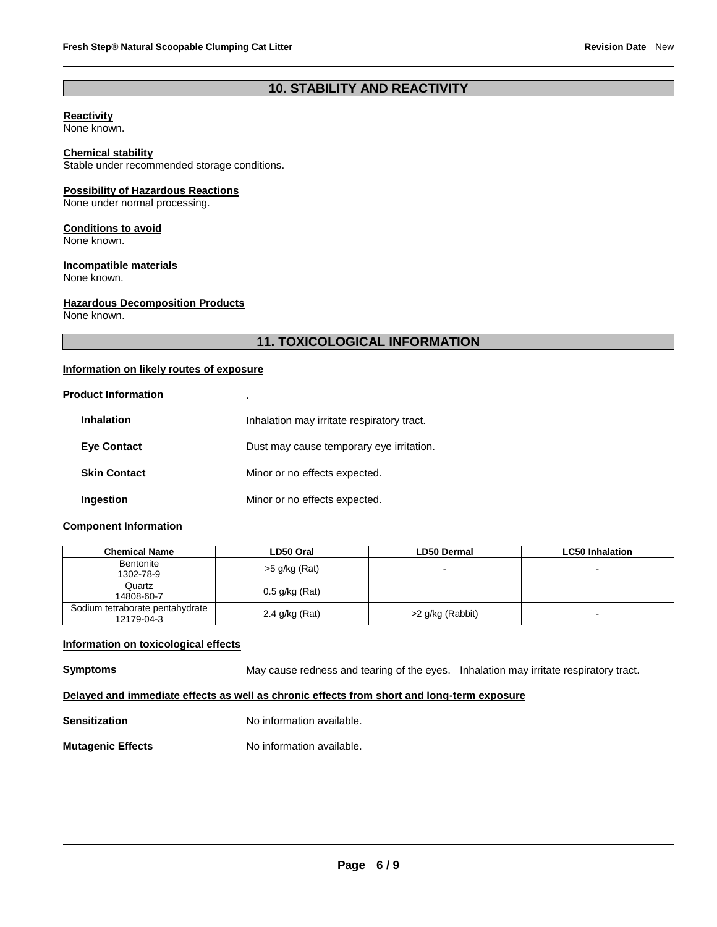# **10. STABILITY AND REACTIVITY**

#### **Reactivity**

None known.

#### **Chemical stability**

Stable under recommended storage conditions.

#### **Possibility of Hazardous Reactions**

None under normal processing.

#### **Conditions to avoid**

None known.

# **Incompatible materials**

None known.

#### **Hazardous Decomposition Products**

None known.

# **11. TOXICOLOGICAL INFORMATION**

#### **Information on likely routes of exposure**

#### **Product Information** .

| <b>Inhalation</b>   | Inhalation may irritate respiratory tract. |
|---------------------|--------------------------------------------|
| <b>Eye Contact</b>  | Dust may cause temporary eye irritation.   |
| <b>Skin Contact</b> | Minor or no effects expected.              |
| Ingestion           | Minor or no effects expected.              |

#### **Component Information**

| Chemical Name                                 | LD50 Oral        | LD50 Dermal              | <b>LC50 Inhalation</b> |
|-----------------------------------------------|------------------|--------------------------|------------------------|
| Bentonite<br>1302-78-9                        | $>5$ g/kg (Rat)  | $\overline{\phantom{0}}$ | $\blacksquare$         |
| Quartz<br>14808-60-7                          | $0.5$ g/kg (Rat) |                          |                        |
| Sodium tetraborate pentahydrate<br>12179-04-3 | 2.4 g/kg (Rat)   | >2 g/kg (Rabbit)         | -                      |

### **Information on toxicological effects**

**Symptoms** May cause redness and tearing of the eyes. Inhalation may irritate respiratory tract.

# **Delayed and immediate effects as well as chronic effects from short and long-term exposure**

**Sensitization No information available.** 

### **Mutagenic Effects No information available.**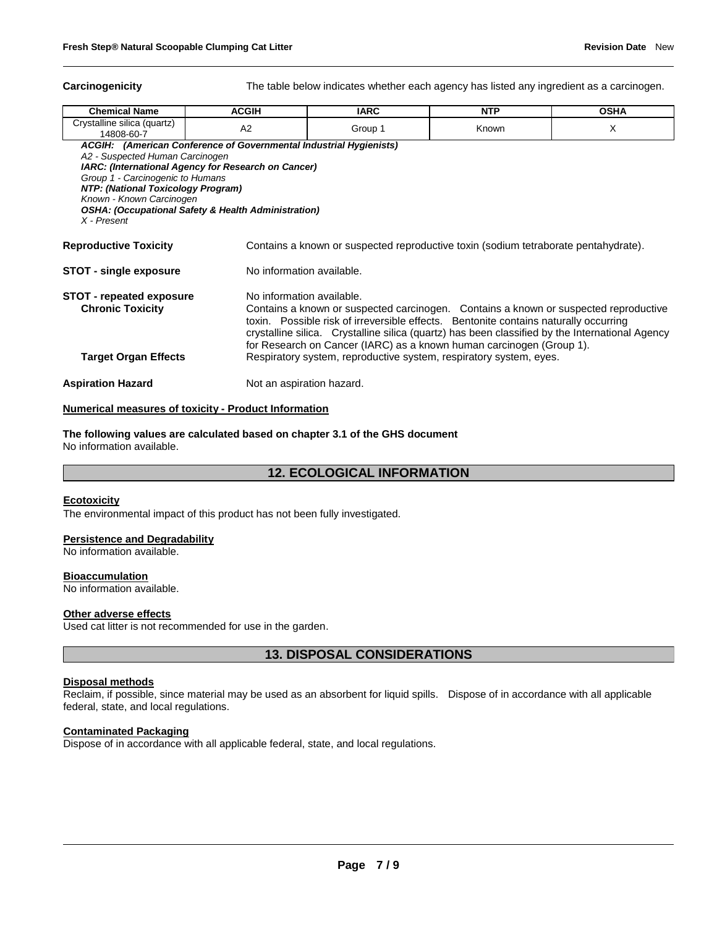**Carcinogenicity** The table below indicates whether each agency has listed any ingredient as a carcinogen.

| <b>Chemical Name</b>                                                                                                                                                                                                                                                                                                                                                                                                                                                                                                                                    | <b>ACGIH</b>              | <b>IARC</b> | <b>NTP</b> | <b>OSHA</b> |  |  |
|---------------------------------------------------------------------------------------------------------------------------------------------------------------------------------------------------------------------------------------------------------------------------------------------------------------------------------------------------------------------------------------------------------------------------------------------------------------------------------------------------------------------------------------------------------|---------------------------|-------------|------------|-------------|--|--|
| Crystalline silica (quartz)<br>14808-60-7                                                                                                                                                                                                                                                                                                                                                                                                                                                                                                               | A2                        | Group 1     | Known      | X           |  |  |
| ACGIH: (American Conference of Governmental Industrial Hygienists)<br>A2 - Suspected Human Carcinogen<br><b>IARC: (International Agency for Research on Cancer)</b><br>Group 1 - Carcinogenic to Humans<br><b>NTP: (National Toxicology Program)</b><br>Known - Known Carcinogen<br><b>OSHA: (Occupational Safety &amp; Health Administration)</b><br>X - Present                                                                                                                                                                                       |                           |             |            |             |  |  |
| <b>Reproductive Toxicity</b><br>Contains a known or suspected reproductive toxin (sodium tetraborate pentahydrate).                                                                                                                                                                                                                                                                                                                                                                                                                                     |                           |             |            |             |  |  |
| STOT - single exposure                                                                                                                                                                                                                                                                                                                                                                                                                                                                                                                                  | No information available. |             |            |             |  |  |
| No information available.<br><b>STOT - repeated exposure</b><br><b>Chronic Toxicity</b><br>Contains a known or suspected carcinogen. Contains a known or suspected reproductive<br>toxin. Possible risk of irreversible effects. Bentonite contains naturally occurring<br>crystalline silica. Crystalline silica (quartz) has been classified by the International Agency<br>for Research on Cancer (IARC) as a known human carcinogen (Group 1).<br>Respiratory system, reproductive system, respiratory system, eyes.<br><b>Target Organ Effects</b> |                           |             |            |             |  |  |
| <b>Aspiration Hazard</b><br>Not an aspiration hazard.                                                                                                                                                                                                                                                                                                                                                                                                                                                                                                   |                           |             |            |             |  |  |

#### **Numerical measures of toxicity - Product Information**

**The following values are calculated based on chapter 3.1 of the GHS document** No information available.

# **12. ECOLOGICAL INFORMATION**

#### **Ecotoxicity**

The environmental impact of this product has not been fully investigated.

#### **Persistence and Degradability**

No information available.

#### **Bioaccumulation**

No information available.

#### **Other adverse effects**

Used cat litter is not recommended for use in the garden.

**13. DISPOSAL CONSIDERATIONS**

#### **Disposal methods**

Reclaim, if possible, since material may be used as an absorbent for liquid spills. Dispose of in accordance with all applicable federal, state, and local regulations.

#### **Contaminated Packaging**

Dispose of in accordance with all applicable federal, state, and local regulations.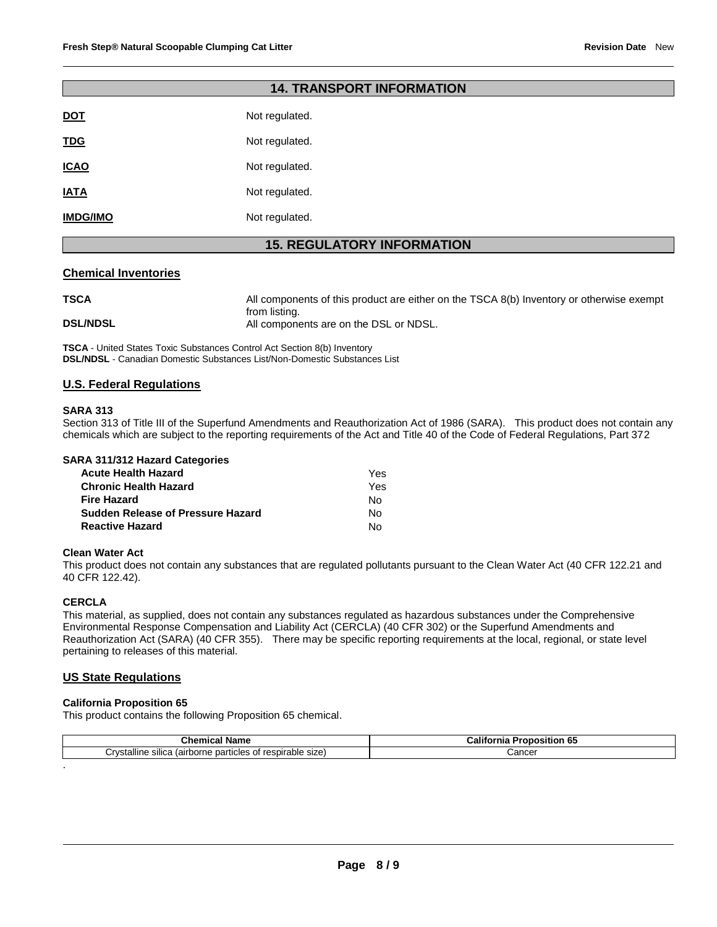| <b>14. TRANSPORT INFORMATION</b>  |                |  |  |  |
|-----------------------------------|----------------|--|--|--|
| <b>DOT</b>                        | Not regulated. |  |  |  |
| <b>TDG</b>                        | Not regulated. |  |  |  |
| <b>ICAO</b>                       | Not regulated. |  |  |  |
| <b>IATA</b>                       | Not regulated. |  |  |  |
| <b>IMDG/IMO</b>                   | Not regulated. |  |  |  |
| <b>15. REGULATORY INFORMATION</b> |                |  |  |  |

#### **Chemical Inventories**

| <b>TSCA</b>     | All components of this product are either on the TSCA 8(b) Inventory or otherwise exempt |
|-----------------|------------------------------------------------------------------------------------------|
| <b>DSL/NDSL</b> | from listing.<br>All components are on the DSL or NDSL.                                  |

**TSCA** - United States Toxic Substances Control Act Section 8(b) Inventory **DSL/NDSL** - Canadian Domestic Substances List/Non-Domestic Substances List

#### **U.S. Federal Regulations**

#### **SARA 313**

Section 313 of Title III of the Superfund Amendments and Reauthorization Act of 1986 (SARA). This product does not contain any chemicals which are subject to the reporting requirements of the Act and Title 40 of the Code of Federal Regulations, Part 372

| <b>Acute Health Hazard</b>               | Yes. |
|------------------------------------------|------|
| <b>Chronic Health Hazard</b>             | Yes  |
| <b>Fire Hazard</b>                       | N٥   |
| <b>Sudden Release of Pressure Hazard</b> | N٥   |
| <b>Reactive Hazard</b>                   | N٥   |

#### **Clean Water Act**

This product does not contain any substances that are regulated pollutants pursuant to the Clean Water Act (40 CFR 122.21 and 40 CFR 122.42).

### **CERCLA**

.

This material, as supplied, does not contain any substances regulated as hazardous substances under the Comprehensive Environmental Response Compensation and Liability Act (CERCLA) (40 CFR 302) or the Superfund Amendments and Reauthorization Act (SARA) (40 CFR 355). There may be specific reporting requirements at the local, regional, or state level pertaining to releases of this material.

#### **US State Regulations**

### **California Proposition 65**

This product contains the following Proposition 65 chemical.

| <b>TIME A CARD</b>                                                              |             |
|---------------------------------------------------------------------------------|-------------|
| ---                                                                             | `osition 65 |
| Mam⊾                                                                            | ∴am.        |
| .nemical                                                                        |             |
| <br>Crvstalline<br>respirable size)<br>sılıca<br>⇒ particles o<br>∡ (airborne ∶ | Cancer      |